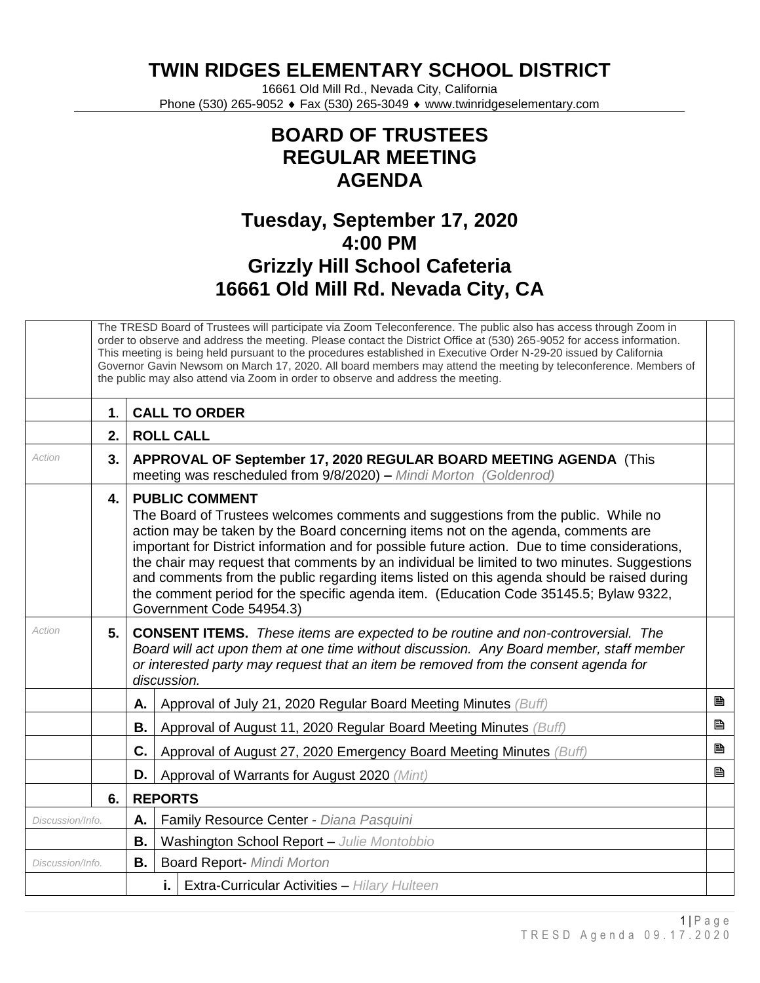**TWIN RIDGES ELEMENTARY SCHOOL DISTRICT**

16661 Old Mill Rd., Nevada City, California Phone (530) 265-9052 ♦ Fax (530) 265-3049 ♦ www.twinridgeselementary.com

## **BOARD OF TRUSTEES REGULAR MEETING AGENDA**

## **Tuesday, September 17, 2020 4:00 PM Grizzly Hill School Cafeteria 16661 Old Mill Rd. Nevada City, CA**

|                  | The TRESD Board of Trustees will participate via Zoom Teleconference. The public also has access through Zoom in<br>order to observe and address the meeting. Please contact the District Office at (530) 265-9052 for access information.<br>This meeting is being held pursuant to the procedures established in Executive Order N-29-20 issued by California<br>Governor Gavin Newsom on March 17, 2020. All board members may attend the meeting by teleconference. Members of<br>the public may also attend via Zoom in order to observe and address the meeting. |                                                                                                                                                                                                                                                                                                                                                                                                                                                                                                                                                                                                                     |   |  |  |
|------------------|------------------------------------------------------------------------------------------------------------------------------------------------------------------------------------------------------------------------------------------------------------------------------------------------------------------------------------------------------------------------------------------------------------------------------------------------------------------------------------------------------------------------------------------------------------------------|---------------------------------------------------------------------------------------------------------------------------------------------------------------------------------------------------------------------------------------------------------------------------------------------------------------------------------------------------------------------------------------------------------------------------------------------------------------------------------------------------------------------------------------------------------------------------------------------------------------------|---|--|--|
|                  | $\mathbf 1$                                                                                                                                                                                                                                                                                                                                                                                                                                                                                                                                                            | <b>CALL TO ORDER</b>                                                                                                                                                                                                                                                                                                                                                                                                                                                                                                                                                                                                |   |  |  |
|                  | 2.                                                                                                                                                                                                                                                                                                                                                                                                                                                                                                                                                                     | <b>ROLL CALL</b>                                                                                                                                                                                                                                                                                                                                                                                                                                                                                                                                                                                                    |   |  |  |
| Action           | 3.                                                                                                                                                                                                                                                                                                                                                                                                                                                                                                                                                                     | APPROVAL OF September 17, 2020 REGULAR BOARD MEETING AGENDA (This<br>meeting was rescheduled from 9/8/2020) - Mindi Morton (Goldenrod)                                                                                                                                                                                                                                                                                                                                                                                                                                                                              |   |  |  |
|                  | 4.                                                                                                                                                                                                                                                                                                                                                                                                                                                                                                                                                                     | <b>PUBLIC COMMENT</b><br>The Board of Trustees welcomes comments and suggestions from the public. While no<br>action may be taken by the Board concerning items not on the agenda, comments are<br>important for District information and for possible future action. Due to time considerations,<br>the chair may request that comments by an individual be limited to two minutes. Suggestions<br>and comments from the public regarding items listed on this agenda should be raised during<br>the comment period for the specific agenda item. (Education Code 35145.5; Bylaw 9322,<br>Government Code 54954.3) |   |  |  |
| Action           | 5.                                                                                                                                                                                                                                                                                                                                                                                                                                                                                                                                                                     | <b>CONSENT ITEMS.</b> These items are expected to be routine and non-controversial. The<br>Board will act upon them at one time without discussion. Any Board member, staff member<br>or interested party may request that an item be removed from the consent agenda for<br>discussion.                                                                                                                                                                                                                                                                                                                            |   |  |  |
|                  |                                                                                                                                                                                                                                                                                                                                                                                                                                                                                                                                                                        | Approval of July 21, 2020 Regular Board Meeting Minutes (Buff)<br>Α.                                                                                                                                                                                                                                                                                                                                                                                                                                                                                                                                                | B |  |  |
|                  |                                                                                                                                                                                                                                                                                                                                                                                                                                                                                                                                                                        | В.<br>Approval of August 11, 2020 Regular Board Meeting Minutes (Buff)                                                                                                                                                                                                                                                                                                                                                                                                                                                                                                                                              | Ð |  |  |
|                  |                                                                                                                                                                                                                                                                                                                                                                                                                                                                                                                                                                        | C.<br>Approval of August 27, 2020 Emergency Board Meeting Minutes (Buff)                                                                                                                                                                                                                                                                                                                                                                                                                                                                                                                                            | B |  |  |
|                  |                                                                                                                                                                                                                                                                                                                                                                                                                                                                                                                                                                        | D.<br>Approval of Warrants for August 2020 (Mint)                                                                                                                                                                                                                                                                                                                                                                                                                                                                                                                                                                   | B |  |  |
|                  | 6.                                                                                                                                                                                                                                                                                                                                                                                                                                                                                                                                                                     | <b>REPORTS</b>                                                                                                                                                                                                                                                                                                                                                                                                                                                                                                                                                                                                      |   |  |  |
| Discussion/Info. |                                                                                                                                                                                                                                                                                                                                                                                                                                                                                                                                                                        | Family Resource Center - Diana Pasquini<br>Α.                                                                                                                                                                                                                                                                                                                                                                                                                                                                                                                                                                       |   |  |  |
|                  |                                                                                                                                                                                                                                                                                                                                                                                                                                                                                                                                                                        | В.<br>Washington School Report - Julie Montobbio                                                                                                                                                                                                                                                                                                                                                                                                                                                                                                                                                                    |   |  |  |
| Discussion/Info. |                                                                                                                                                                                                                                                                                                                                                                                                                                                                                                                                                                        | <b>B.</b><br><b>Board Report- Mindi Morton</b>                                                                                                                                                                                                                                                                                                                                                                                                                                                                                                                                                                      |   |  |  |
|                  |                                                                                                                                                                                                                                                                                                                                                                                                                                                                                                                                                                        | Extra-Curricular Activities - Hilary Hulteen<br>i.                                                                                                                                                                                                                                                                                                                                                                                                                                                                                                                                                                  |   |  |  |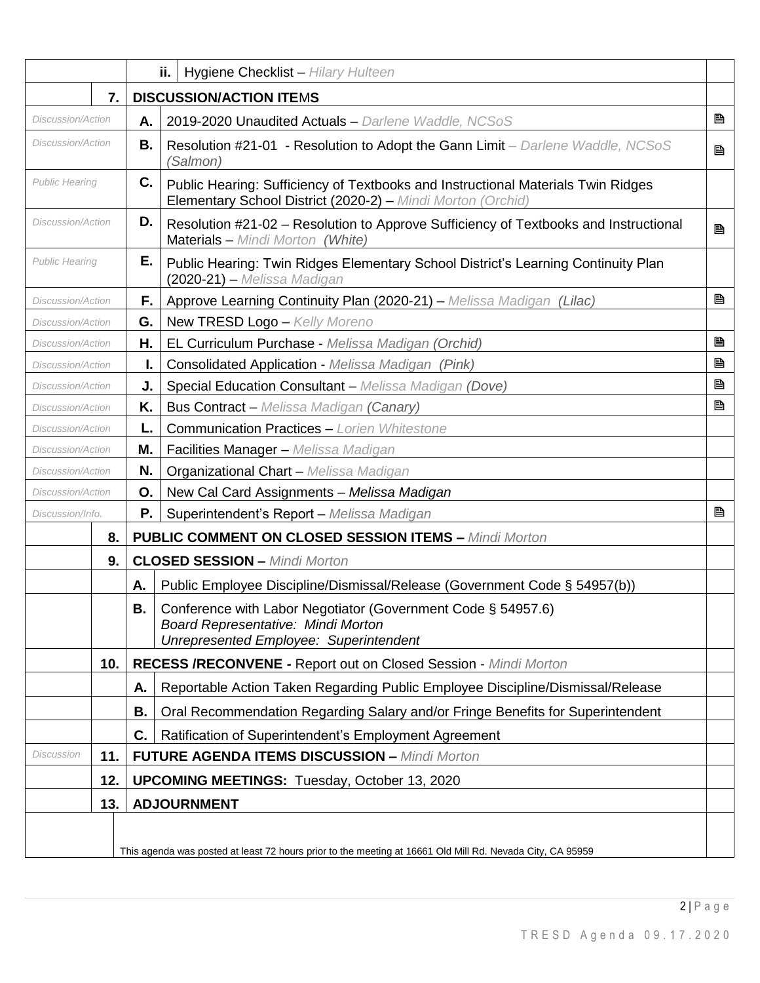|                          |     |    | ii.<br>Hygiene Checklist - Hilary Hulteen                                                                                                           |   |
|--------------------------|-----|----|-----------------------------------------------------------------------------------------------------------------------------------------------------|---|
|                          | 7.  |    | <b>DISCUSSION/ACTION ITEMS</b>                                                                                                                      |   |
| Discussion/Action        |     | Α. | 2019-2020 Unaudited Actuals - Darlene Waddle, NCSoS                                                                                                 | B |
| Discussion/Action        |     | В. | Resolution #21-01 - Resolution to Adopt the Gann Limit - Darlene Waddle, NCSoS<br>(Salmon)                                                          | B |
| <b>Public Hearing</b>    |     | C. | Public Hearing: Sufficiency of Textbooks and Instructional Materials Twin Ridges<br>Elementary School District (2020-2) - Mindi Morton (Orchid)     |   |
| Discussion/Action        |     | D. | Resolution #21-02 – Resolution to Approve Sufficiency of Textbooks and Instructional<br>Materials - Mindi Morton (White)                            | B |
| <b>Public Hearing</b>    |     | Е. | Public Hearing: Twin Ridges Elementary School District's Learning Continuity Plan<br>(2020-21) - Melissa Madigan                                    |   |
| Discussion/Action        |     | F. | Approve Learning Continuity Plan (2020-21) - Melissa Madigan (Lilac)                                                                                | B |
| Discussion/Action        |     | G. | New TRESD Logo - Kelly Moreno                                                                                                                       |   |
| Discussion/Action        |     | Н. | EL Curriculum Purchase - Melissa Madigan (Orchid)                                                                                                   | B |
| Discussion/Action        |     | ı. | Consolidated Application - Melissa Madigan (Pink)                                                                                                   | B |
| Discussion/Action        |     | J. | Special Education Consultant - Melissa Madigan (Dove)                                                                                               | B |
| Discussion/Action        |     | Κ. | <b>Bus Contract - Melissa Madigan (Canary)</b>                                                                                                      | B |
| Discussion/Action        |     | L. | <b>Communication Practices - Lorien Whitestone</b>                                                                                                  |   |
| <b>Discussion/Action</b> |     | Μ. | Facilities Manager - Melissa Madigan                                                                                                                |   |
| Discussion/Action        |     | N. | <b>Organizational Chart - Melissa Madigan</b>                                                                                                       |   |
| Discussion/Action        |     | О. | New Cal Card Assignments - Melissa Madigan                                                                                                          |   |
| Discussion/Info.         |     | Р. | Superintendent's Report - Melissa Madigan                                                                                                           | B |
|                          | 8.  |    | <b>PUBLIC COMMENT ON CLOSED SESSION ITEMS - Mindi Morton</b>                                                                                        |   |
|                          | 9.  |    | <b>CLOSED SESSION - Mindi Morton</b>                                                                                                                |   |
|                          |     | А. | Public Employee Discipline/Dismissal/Release (Government Code § 54957(b))                                                                           |   |
|                          |     | В. | Conference with Labor Negotiator (Government Code § 54957.6)<br><b>Board Representative: Mindi Morton</b><br>Unrepresented Employee: Superintendent |   |
|                          | 10. |    | <b>RECESS /RECONVENE - Report out on Closed Session - Mindi Morton</b>                                                                              |   |
|                          |     | А. | Reportable Action Taken Regarding Public Employee Discipline/Dismissal/Release                                                                      |   |
|                          |     | В. | Oral Recommendation Regarding Salary and/or Fringe Benefits for Superintendent                                                                      |   |
|                          |     | C. | Ratification of Superintendent's Employment Agreement                                                                                               |   |
| Discussion               | 11. |    | <b>FUTURE AGENDA ITEMS DISCUSSION - Mindi Morton</b>                                                                                                |   |
|                          | 12. |    | <b>UPCOMING MEETINGS: Tuesday, October 13, 2020</b>                                                                                                 |   |
|                          | 13. |    | <b>ADJOURNMENT</b>                                                                                                                                  |   |
|                          |     |    | This agenda was posted at least 72 hours prior to the meeting at 16661 Old Mill Rd. Nevada City, CA 95959                                           |   |